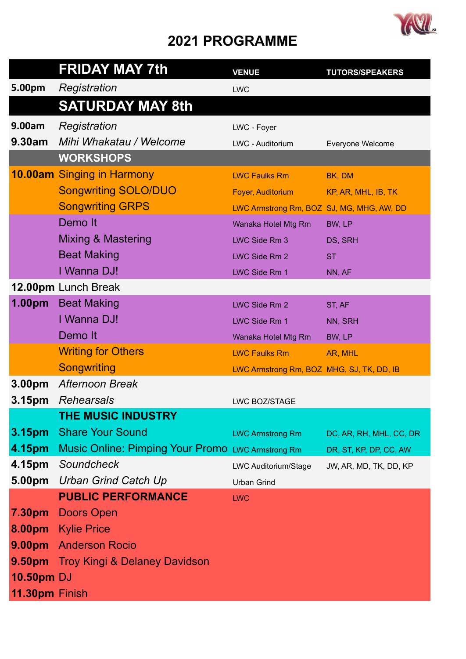## **2021 PROGRAMME**



|                    | <b>FRIDAY MAY 7th</b>                                    | <b>VENUE</b>                              | <b>TUTORS/SPEAKERS</b>  |
|--------------------|----------------------------------------------------------|-------------------------------------------|-------------------------|
| 5.00pm             | Registration                                             | <b>LWC</b>                                |                         |
|                    | <b>SATURDAY MAY 8th</b>                                  |                                           |                         |
| 9.00am             | Registration                                             | LWC - Foyer                               |                         |
| 9.30am             | Mihi Whakatau / Welcome                                  | LWC - Auditorium                          | Everyone Welcome        |
|                    | <b>WORKSHOPS</b>                                         |                                           |                         |
|                    | <b>10.00am</b> Singing in Harmony                        | <b>LWC Faulks Rm</b>                      | BK, DM                  |
|                    | <b>Songwriting SOLO/DUO</b>                              | Foyer, Auditorium                         | KP, AR, MHL, IB, TK     |
|                    | <b>Songwriting GRPS</b>                                  | LWC Armstrong Rm, BOZ SJ, MG, MHG, AW, DD |                         |
|                    | Demo It                                                  | Wanaka Hotel Mtg Rm                       | BW, LP                  |
|                    | Mixing & Mastering                                       | LWC Side Rm 3                             | DS, SRH                 |
|                    | <b>Beat Making</b>                                       | LWC Side Rm 2                             | <b>ST</b>               |
|                    | I Wanna DJ!                                              | LWC Side Rm 1                             | NN, AF                  |
|                    | <b>12.00pm</b> Lunch Break                               |                                           |                         |
| 1.00 <sub>pm</sub> | <b>Beat Making</b>                                       | LWC Side Rm 2                             | ST, AF                  |
|                    | I Wanna DJ!                                              | LWC Side Rm 1                             | NN, SRH                 |
|                    | Demo It                                                  | Wanaka Hotel Mtg Rm                       | BW, LP                  |
|                    | <b>Writing for Others</b>                                | <b>LWC Faulks Rm</b>                      | AR, MHL                 |
|                    | <b>Songwriting</b>                                       | LWC Armstrong Rm, BOZ MHG, SJ, TK, DD, IB |                         |
| 3.00 <sub>pm</sub> | Afternoon Break                                          |                                           |                         |
| 3.15pm             | <b>Rehearsals</b>                                        | LWC BOZ/STAGE                             |                         |
|                    | <b>THE MUSIC INDUSTRY</b>                                |                                           |                         |
| 3.15 <sub>pm</sub> | <b>Share Your Sound</b>                                  | <b>LWC Armstrong Rm</b>                   | DC, AR, RH, MHL, CC, DR |
| 4.15pm             | <b>Music Online: Pimping Your Promo LWC Armstrong Rm</b> |                                           | DR, ST, KP, DP, CC, AW  |
| 4.15pm             | Soundcheck                                               | LWC Auditorium/Stage                      | JW, AR, MD, TK, DD, KP  |
| 5.00pm             | <b>Urban Grind Catch Up</b>                              | <b>Urban Grind</b>                        |                         |
|                    | <b>PUBLIC PERFORMANCE</b>                                | <b>LWC</b>                                |                         |
| 7.30pm             | <b>Doors Open</b>                                        |                                           |                         |
|                    | 8.00pm Kylie Price                                       |                                           |                         |
|                    | 9.00pm Anderson Rocio                                    |                                           |                         |
|                    | <b>9.50pm</b> Troy Kingi & Delaney Davidson              |                                           |                         |
| <b>10.50pm DJ</b>  |                                                          |                                           |                         |
| 11.30pm Finish     |                                                          |                                           |                         |